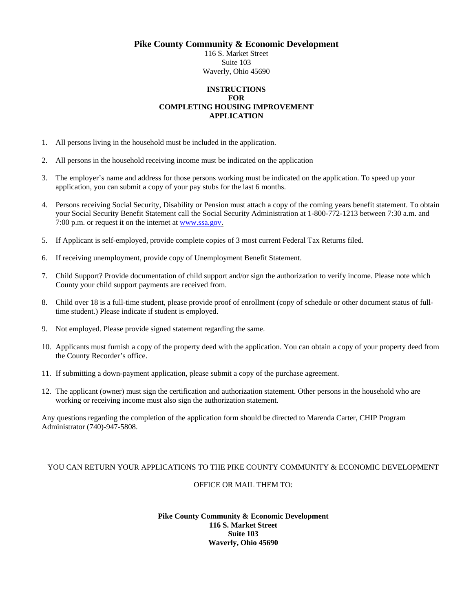**Pike County Community & Economic Development** 

116 S. Market Street Suite 103 Waverly, Ohio 45690

### **INSTRUCTIONS FOR COMPLETING HOUSING IMPROVEMENT APPLICATION**

- 1. All persons living in the household must be included in the application.
- 2. All persons in the household receiving income must be indicated on the application
- 3. The employer's name and address for those persons working must be indicated on the application. To speed up your application, you can submit a copy of your pay stubs for the last 6 months.
- 4. Persons receiving Social Security, Disability or Pension must attach a copy of the coming years benefit statement. To obtain your Social Security Benefit Statement call the Social Security Administration at 1-800-772-1213 between 7:30 a.m. and 7:00 p.m. or request it on the internet at www.ssa.gov.
- 5. If Applicant is self-employed, provide complete copies of 3 most current Federal Tax Returns filed.
- 6. If receiving unemployment, provide copy of Unemployment Benefit Statement.
- 7. Child Support? Provide documentation of child support and/or sign the authorization to verify income. Please note which County your child support payments are received from.
- 8. Child over 18 is a full-time student, please provide proof of enrollment (copy of schedule or other document status of fulltime student.) Please indicate if student is employed.
- 9. Not employed. Please provide signed statement regarding the same.
- 10. Applicants must furnish a copy of the property deed with the application. You can obtain a copy of your property deed from the County Recorder's office.
- 11. If submitting a down-payment application, please submit a copy of the purchase agreement.
- 12. The applicant (owner) must sign the certification and authorization statement. Other persons in the household who are working or receiving income must also sign the authorization statement.

Any questions regarding the completion of the application form should be directed to Marenda Carter, CHIP Program Administrator (740)-947-5808.

#### YOU CAN RETURN YOUR APPLICATIONS TO THE PIKE COUNTY COMMUNITY & ECONOMIC DEVELOPMENT

#### OFFICE OR MAIL THEM TO:

#### **Pike County Community & Economic Development 116 S. Market Street Suite 103 Waverly, Ohio 45690**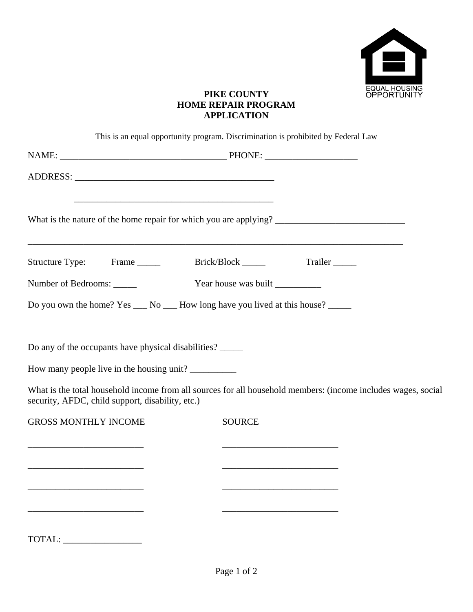

### **PIKE COUNTY HOME REPAIR PROGRAM APPLICATION**

|                                                                                                                                                             | This is an equal opportunity program. Discrimination is prohibited by Federal Law         |                                                                                                               |
|-------------------------------------------------------------------------------------------------------------------------------------------------------------|-------------------------------------------------------------------------------------------|---------------------------------------------------------------------------------------------------------------|
|                                                                                                                                                             |                                                                                           |                                                                                                               |
|                                                                                                                                                             |                                                                                           |                                                                                                               |
|                                                                                                                                                             | ,我们也不会有什么。""我们的人,我们也不会有什么?""我们的人,我们也不会有什么?""我们的人,我们也不会有什么?""我们的人,我们也不会有什么?""我们的人          |                                                                                                               |
|                                                                                                                                                             | Structure Type: Frame _______ Brick/Block ______ Trailer ____                             |                                                                                                               |
| Number of Bedrooms:                                                                                                                                         | Year house was built                                                                      |                                                                                                               |
|                                                                                                                                                             | Do you own the home? Yes ___ No ___ How long have you lived at this house? _____          |                                                                                                               |
| Do any of the occupants have physical disabilities? ______<br>How many people live in the housing unit?<br>security, AFDC, child support, disability, etc.) |                                                                                           | What is the total household income from all sources for all household members: (income includes wages, social |
| <b>GROSS MONTHLY INCOME</b>                                                                                                                                 | <b>SOURCE</b>                                                                             |                                                                                                               |
|                                                                                                                                                             | the control of the control of the control of the control of the control of the control of |                                                                                                               |
| TOTAL:                                                                                                                                                      |                                                                                           |                                                                                                               |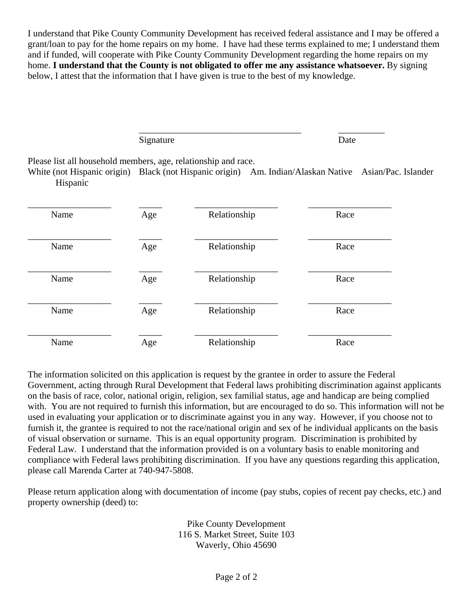I understand that Pike County Community Development has received federal assistance and I may be offered a grant/loan to pay for the home repairs on my home. I have had these terms explained to me; I understand them and if funded, will cooperate with Pike County Community Development regarding the home repairs on my home. **I understand that the County is not obligated to offer me any assistance whatsoever.** By signing below, I attest that the information that I have given is true to the best of my knowledge.

 $\overline{\phantom{a}}$  , which is a set of the set of the set of the set of the set of the set of the set of the set of the set of the set of the set of the set of the set of the set of the set of the set of the set of the set of th Signature Date

Please list all household members, age, relationship and race.

White (not Hispanic origin) Black (not Hispanic origin) Am. Indian/Alaskan Native Asian/Pac. Islander Hispanic

| Name | Age | Relationship | Race |
|------|-----|--------------|------|
| Name | Age | Relationship | Race |
| Name | Age | Relationship | Race |
| Name | Age | Relationship | Race |
| Name | Age | Relationship | Race |

The information solicited on this application is request by the grantee in order to assure the Federal Government, acting through Rural Development that Federal laws prohibiting discrimination against applicants on the basis of race, color, national origin, religion, sex familial status, age and handicap are being complied with. You are not required to furnish this information, but are encouraged to do so. This information will not be used in evaluating your application or to discriminate against you in any way. However, if you choose not to furnish it, the grantee is required to not the race/national origin and sex of he individual applicants on the basis of visual observation or surname. This is an equal opportunity program. Discrimination is prohibited by Federal Law. I understand that the information provided is on a voluntary basis to enable monitoring and compliance with Federal laws prohibiting discrimination. If you have any questions regarding this application, please call Marenda Carter at 740-947-5808.

Please return application along with documentation of income (pay stubs, copies of recent pay checks, etc.) and property ownership (deed) to:

> Pike County Development 116 S. Market Street, Suite 103 Waverly, Ohio 45690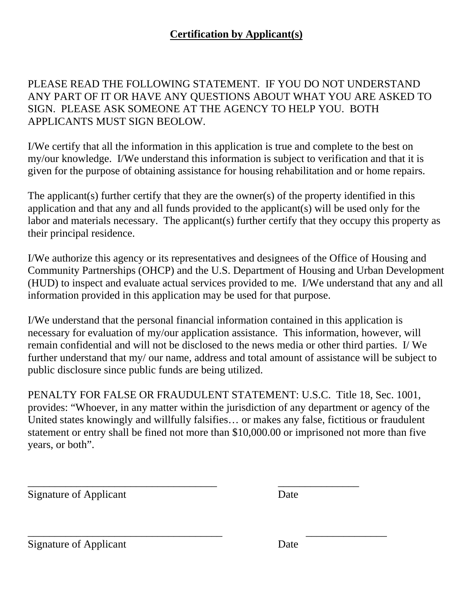### **Certification by Applicant(s)**

PLEASE READ THE FOLLOWING STATEMENT. IF YOU DO NOT UNDERSTAND ANY PART OF IT OR HAVE ANY QUESTIONS ABOUT WHAT YOU ARE ASKED TO SIGN. PLEASE ASK SOMEONE AT THE AGENCY TO HELP YOU. BOTH APPLICANTS MUST SIGN BEOLOW.

I/We certify that all the information in this application is true and complete to the best on my/our knowledge. I/We understand this information is subject to verification and that it is given for the purpose of obtaining assistance for housing rehabilitation and or home repairs.

The applicant(s) further certify that they are the owner(s) of the property identified in this application and that any and all funds provided to the applicant(s) will be used only for the labor and materials necessary. The applicant(s) further certify that they occupy this property as their principal residence.

I/We authorize this agency or its representatives and designees of the Office of Housing and Community Partnerships (OHCP) and the U.S. Department of Housing and Urban Development (HUD) to inspect and evaluate actual services provided to me. I/We understand that any and all information provided in this application may be used for that purpose.

I/We understand that the personal financial information contained in this application is necessary for evaluation of my/our application assistance. This information, however, will remain confidential and will not be disclosed to the news media or other third parties. I/ We further understand that my/ our name, address and total amount of assistance will be subject to public disclosure since public funds are being utilized.

PENALTY FOR FALSE OR FRAUDULENT STATEMENT: U.S.C. Title 18, Sec. 1001, provides: "Whoever, in any matter within the jurisdiction of any department or agency of the United states knowingly and willfully falsifies… or makes any false, fictitious or fraudulent statement or entry shall be fined not more than \$10,000.00 or imprisoned not more than five years, or both".

\_\_\_\_\_\_\_\_\_\_\_\_\_\_\_\_\_\_\_\_\_\_\_\_\_\_\_\_\_\_\_\_\_\_\_ \_\_\_\_\_\_\_\_\_\_\_\_\_\_\_

\_\_\_\_\_\_\_\_\_\_\_\_\_\_\_\_\_\_\_\_\_\_\_\_\_\_\_\_\_\_\_\_\_\_\_\_ \_\_\_\_\_\_\_\_\_\_\_\_\_\_\_

Signature of Applicant Date

Signature of Applicant Date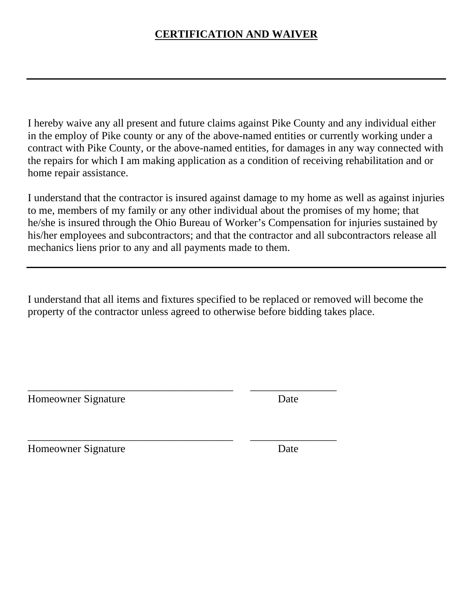# **CERTIFICATION AND WAIVER**

I hereby waive any all present and future claims against Pike County and any individual either in the employ of Pike county or any of the above-named entities or currently working under a contract with Pike County, or the above-named entities, for damages in any way connected with the repairs for which I am making application as a condition of receiving rehabilitation and or home repair assistance.

I understand that the contractor is insured against damage to my home as well as against injuries to me, members of my family or any other individual about the promises of my home; that he/she is insured through the Ohio Bureau of Worker's Compensation for injuries sustained by his/her employees and subcontractors; and that the contractor and all subcontractors release all mechanics liens prior to any and all payments made to them.

I understand that all items and fixtures specified to be replaced or removed will become the property of the contractor unless agreed to otherwise before bidding takes place.

\_\_\_\_\_\_\_\_\_\_\_\_\_\_\_\_\_\_\_\_\_\_\_\_\_\_\_\_\_\_\_\_\_\_\_\_\_\_ \_\_\_\_\_\_\_\_\_\_\_\_\_\_\_\_

\_\_\_\_\_\_\_\_\_\_\_\_\_\_\_\_\_\_\_\_\_\_\_\_\_\_\_\_\_\_\_\_\_\_\_\_\_\_ \_\_\_\_\_\_\_\_\_\_\_\_\_\_\_\_

Homeowner Signature Date

Homeowner Signature Date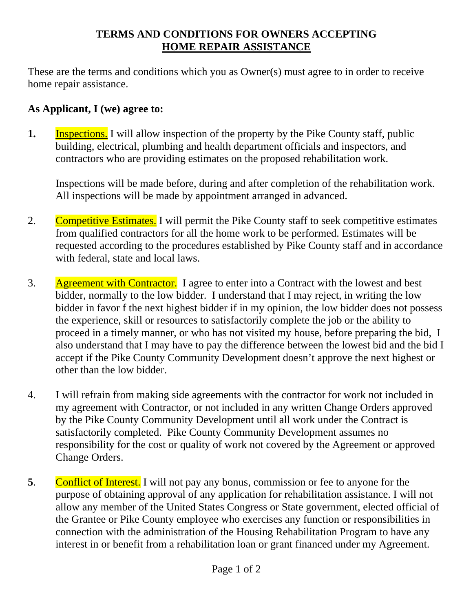# **TERMS AND CONDITIONS FOR OWNERS ACCEPTING HOME REPAIR ASSISTANCE**

These are the terms and conditions which you as Owner(s) must agree to in order to receive home repair assistance.

## **As Applicant, I (we) agree to:**

**1.** Inspections. I will allow inspection of the property by the Pike County staff, public building, electrical, plumbing and health department officials and inspectors, and contractors who are providing estimates on the proposed rehabilitation work.

Inspections will be made before, during and after completion of the rehabilitation work. All inspections will be made by appointment arranged in advanced.

- 2. Competitive Estimates. I will permit the Pike County staff to seek competitive estimates from qualified contractors for all the home work to be performed. Estimates will be requested according to the procedures established by Pike County staff and in accordance with federal, state and local laws.
- 3. Agreement with Contractor. I agree to enter into a Contract with the lowest and best bidder, normally to the low bidder. I understand that I may reject, in writing the low bidder in favor f the next highest bidder if in my opinion, the low bidder does not possess the experience, skill or resources to satisfactorily complete the job or the ability to proceed in a timely manner, or who has not visited my house, before preparing the bid, I also understand that I may have to pay the difference between the lowest bid and the bid I accept if the Pike County Community Development doesn't approve the next highest or other than the low bidder.
- 4. I will refrain from making side agreements with the contractor for work not included in my agreement with Contractor, or not included in any written Change Orders approved by the Pike County Community Development until all work under the Contract is satisfactorily completed. Pike County Community Development assumes no responsibility for the cost or quality of work not covered by the Agreement or approved Change Orders.
- **5**. Conflict of Interest. I will not pay any bonus, commission or fee to anyone for the purpose of obtaining approval of any application for rehabilitation assistance. I will not allow any member of the United States Congress or State government, elected official of the Grantee or Pike County employee who exercises any function or responsibilities in connection with the administration of the Housing Rehabilitation Program to have any interest in or benefit from a rehabilitation loan or grant financed under my Agreement.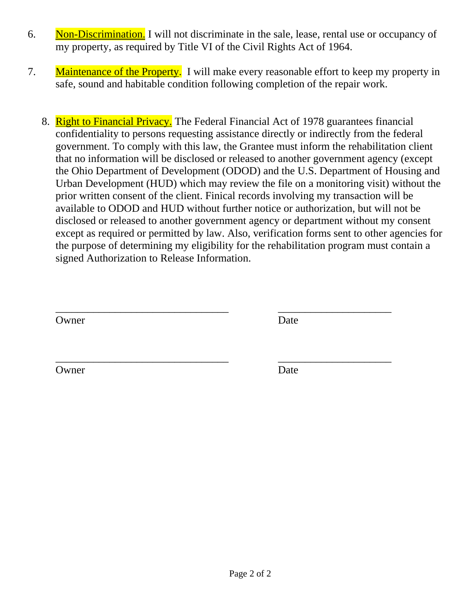- 6. Non-Discrimination. I will not discriminate in the sale, lease, rental use or occupancy of my property, as required by Title VI of the Civil Rights Act of 1964.
- 7. Maintenance of the Property. I will make every reasonable effort to keep my property in safe, sound and habitable condition following completion of the repair work.
	- 8. Right to Financial Privacy. The Federal Financial Act of 1978 guarantees financial confidentiality to persons requesting assistance directly or indirectly from the federal government. To comply with this law, the Grantee must inform the rehabilitation client that no information will be disclosed or released to another government agency (except the Ohio Department of Development (ODOD) and the U.S. Department of Housing and Urban Development (HUD) which may review the file on a monitoring visit) without the prior written consent of the client. Finical records involving my transaction will be available to ODOD and HUD without further notice or authorization, but will not be disclosed or released to another government agency or department without my consent except as required or permitted by law. Also, verification forms sent to other agencies for the purpose of determining my eligibility for the rehabilitation program must contain a signed Authorization to Release Information.

\_\_\_\_\_\_\_\_\_\_\_\_\_\_\_\_\_\_\_\_\_\_\_\_\_\_\_\_\_\_\_\_ \_\_\_\_\_\_\_\_\_\_\_\_\_\_\_\_\_\_\_\_\_

\_\_\_\_\_\_\_\_\_\_\_\_\_\_\_\_\_\_\_\_\_\_\_\_\_\_\_\_\_\_\_\_ \_\_\_\_\_\_\_\_\_\_\_\_\_\_\_\_\_\_\_\_\_

Owner Date

Owner Date